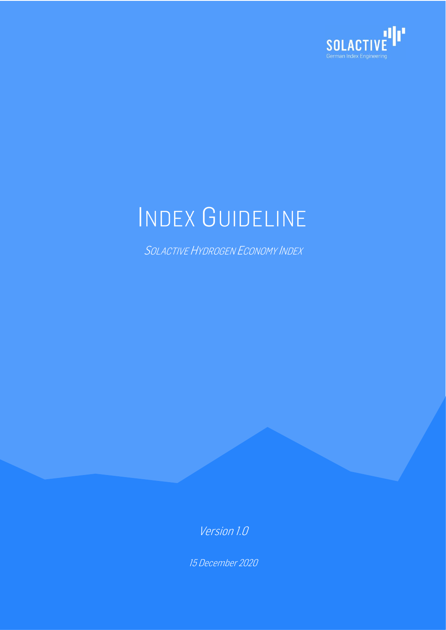

# INDEX GUIDELINE

SOLACTIVE HYDROGEN ECONOMY INDEX

Version 1.0

15 December 2020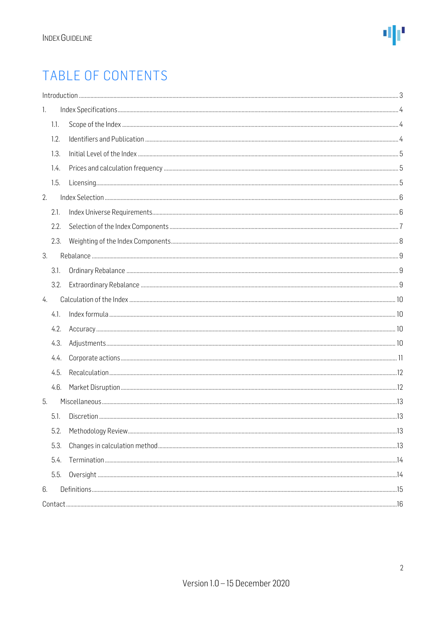### TABLE OF CONTENTS

| 1.   |  |
|------|--|
| 1.1. |  |
| 1.2. |  |
| 1.3. |  |
| 1.4. |  |
| 1.5. |  |
| 2.   |  |
| 2.1. |  |
| 2.2. |  |
| 2.3. |  |
| 3.   |  |
| 3.1. |  |
| 3.2. |  |
| 4.   |  |
| 4.1. |  |
| 4.2. |  |
| 4.3. |  |
| 4.4. |  |
| 4.5. |  |
| 4.6. |  |
| 5.   |  |
| 5.1. |  |
| 5.2. |  |
| 5.3. |  |
| 5.4. |  |
| 5.5. |  |
| 6.   |  |
|      |  |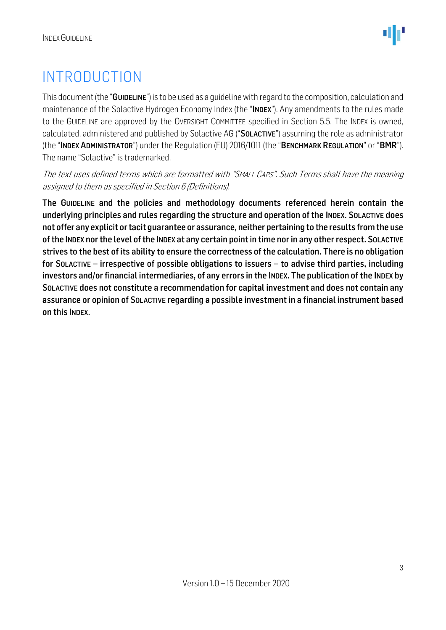### <span id="page-2-0"></span>INTRODUCTION

This document (the "GUIDELINE") is to be used as a quideline with regard to the composition, calculation and maintenance of the Solactive Hydrogen Economy Index (the "INDEX"). Any amendments to the rules made to the GUIDELINE are approved by the OVERSIGHT COMMITTEE specified in Section 5.5. The INDEX is owned, calculated, administered and published by Solactive AG ("SOLACTIVE") assuming the role as administrator (the "INDEX ADMINISTRATOR") under the Regulation (EU) 2016/1011 (the "BENCHMARK REGULATION" or "BMR"). The name "Solactive" is trademarked.

The text uses defined terms which are formatted with "SMALL CAPS". Such Terms shall have the meaning assigned to them as specified in Section 6 (Definitions).

The GUIDELINE and the policies and methodology documents referenced herein contain the underlying principles and rules regarding the structure and operation of the INDEX. SOLACTIVE does not offer any explicit or tacit guarantee or assurance, neither pertaining to the results from the use ofthe INDEX nor the level of the INDEX at any certain point in time nor in any other respect. SOLACTIVE strives to the best of its ability to ensure the correctness of the calculation. There is no obligation for SOLACTIVE – irrespective of possible obligations to issuers – to advise third parties, including investors and/or financial intermediaries, of any errors in the INDEX. The publication of the INDEX by SOLACTIVE does not constitute a recommendation for capital investment and does not contain any assurance or opinion of SOLACTIVE regarding a possible investment in a financial instrument based on this INDEX.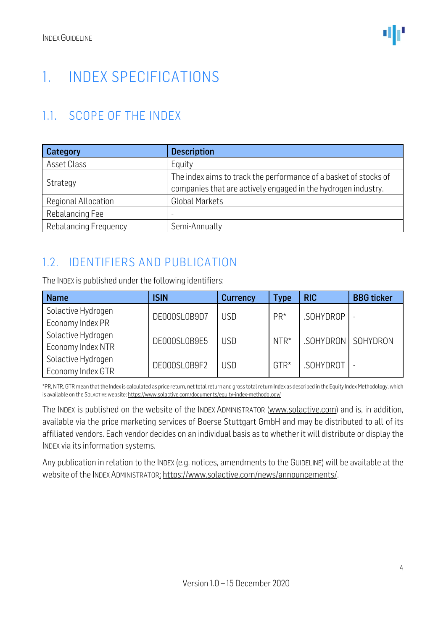### <span id="page-3-0"></span>1. INDEX SPECIFICATIONS

#### <span id="page-3-1"></span>1.1. SCOPE OF THE INDEX

| Category              | <b>Description</b>                                                                                                                |
|-----------------------|-----------------------------------------------------------------------------------------------------------------------------------|
| Asset Class           | Equity                                                                                                                            |
| Strategy              | The index aims to track the performance of a basket of stocks of<br>companies that are actively engaged in the hydrogen industry. |
| Regional Allocation   | <b>Global Markets</b>                                                                                                             |
| Rebalancing Fee       |                                                                                                                                   |
| Rebalancing Frequency | Semi-Annually                                                                                                                     |

#### <span id="page-3-2"></span>1.2. IDENTIFIERS AND PUBLICATION

The INDEX is published under the following identifiers:

| <b>Name</b>        | <b>ISIN</b>                | <b>Currency</b> | Type      | <b>RIC</b>        | <b>BBG</b> ticker |
|--------------------|----------------------------|-----------------|-----------|-------------------|-------------------|
| Solactive Hydrogen | DE000SL0B9D7               | <b>USD</b>      | $PR*$     | .SOHYDROP         |                   |
| Economy Index PR   |                            |                 |           |                   |                   |
| Solactive Hydrogen | DE000SL0B9E5               | <b>USD</b>      | NTR*      | SOHYDRON SOHYDRON |                   |
| Economy Index NTR  |                            |                 |           |                   |                   |
| Solactive Hydrogen | DE000SL0B9F2<br><b>USD</b> | $GTR*$          | .SOHYDROT |                   |                   |
| Economy Index GTR  |                            |                 |           |                   |                   |

\*PR, NTR, GTR mean that the Index is calculated as price return, net total return and gross total return Index as described in the Equity Index Methodology, which is available on the SOLACTIVE website[: https://www.solactive.com/documents/equity-index-methodology/](https://www.solactive.com/documents/equity-index-methodology/)

The INDEX is published on the website of the INDEX ADMINISTRATOR [\(www.solactive.com\)](http://www.solactive.com/) and is, in addition, available via the price marketing services of Boerse Stuttgart GmbH and may be distributed to all of its affiliated vendors. Each vendor decides on an individual basis as to whether it will distribute or display the INDEX via its information systems.

Any publication in relation to the INDEX (e.g. notices, amendments to the GUIDELINE) will be available at the website of the INDEX ADMINISTRATOR: [https://www.solactive.com/news/announcements/.](https://www.solactive.com/news/announcements/)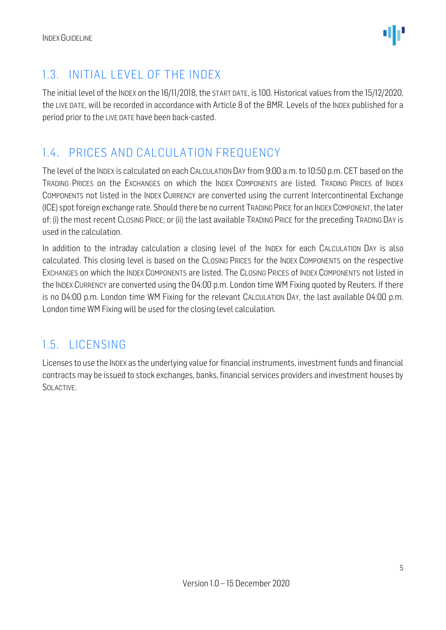

#### <span id="page-4-0"></span>1.3. INITIAL LEVEL OF THE INDEX

The initial level of the INDEX on the 16/11/2018, the START DATE, is 100. Historical values from the 15/12/2020, the LIVE DATE, will be recorded in accordance with Article 8 of the BMR. Levels of the INDEX published for a period prior to the LIVE DATE have been back-casted.

#### <span id="page-4-1"></span>1.4. PRICES AND CALCULATION FREQUENCY

The level of the INDEX is calculated on each CALCULATION DAY from 9:00 a.m. to 10:50 p.m. CET based on the TRADING PRICES on the EXCHANGES on which the INDEX COMPONENTS are listed. TRADING PRICES of INDEX COMPONENTS not listed in the INDEX CURRENCY are converted using the current Intercontinental Exchange (ICE) spot foreign exchange rate. Should there be no current TRADING PRICE for an INDEXCOMPONENT, the later of: (i) the most recent CLOSING PRICE; or (ii) the last available TRADING PRICE for the preceding TRADING DAY is used in the calculation.

In addition to the intraday calculation a closing level of the INDEX for each CALCULATION DAY is also calculated. This closing level is based on the CLOSING PRICES for the INDEX COMPONENTS on the respective EXCHANGES on which the INDEX COMPONENTS are listed. The CLOSING PRICES of INDEX COMPONENTS not listed in the INDEX CURRENCY are converted using the 04:00 p.m. London time WM Fixing quoted by Reuters. If there is no 04:00 p.m. London time WM Fixing for the relevant CALCULATION DAY, the last available 04:00 p.m. London time WM Fixing will be used for the closing level calculation.

#### <span id="page-4-2"></span>1.5. LICENSING

Licenses to use the INDEX as the underlying value for financial instruments, investment funds and financial contracts may be issued to stock exchanges, banks, financial services providers and investment houses by SOLACTIVE.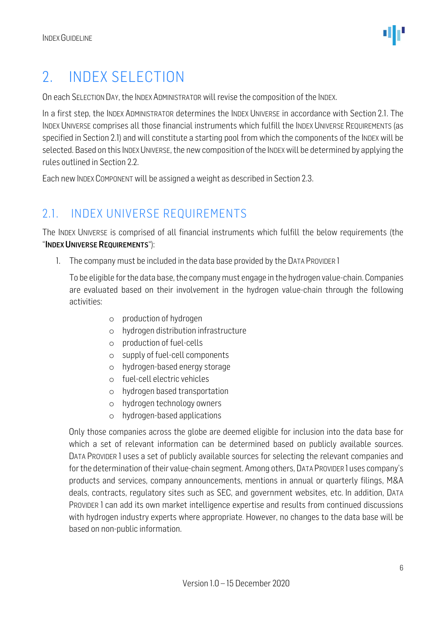### <span id="page-5-0"></span>2. INDEX SELECTION

On each SELECTION DAY, the INDEX ADMINISTRATOR will revise the composition of the INDEX.

In a first step, the INDEX ADMINISTRATOR determines the INDEX UNIVERSE in accordance with Section 2.1. The INDEX UNIVERSE comprises all those financial instruments which fulfill the INDEX UNIVERSE REQUIREMENTS (as specified in Section 2.1) and will constitute a starting pool from which the components of the INDEX will be selected. Based on this INDEX UNIVERSE, the new composition of the INDEX will be determined by applying the rules outlined in Section 2.2.

Each new INDEX COMPONENT will be assigned a weight as described in Section 2.3.

#### <span id="page-5-1"></span>2.1. INDEX UNIVERSE REQUIREMENTS

The INDEX UNIVERSE is comprised of all financial instruments which fulfill the below requirements (the "INDEX UNIVERSE REQUIREMENTS"):

1. The company must be included in the data base provided by the DATA PROVIDER 1

To be eligible for the data base, the company must engage in the hydrogen value-chain. Companies are evaluated based on their involvement in the hydrogen value-chain through the following activities:

- o production of hydrogen
- o hydrogen distribution infrastructure
- o production of fuel-cells
- o supply of fuel-cell components
- o hydrogen-based energy storage
- o fuel-cell electric vehicles
- o hydrogen based transportation
- o hydrogen technology owners
- o hydrogen-based applications

Only those companies across the globe are deemed eligible for inclusion into the data base for which a set of relevant information can be determined based on publicly available sources. DATA PROVIDER 1 uses a set of publicly available sources for selecting the relevant companies and for the determination of their value-chain segment. Among others, DATA PROVIDER 1uses company's products and services, company announcements, mentions in annual or quarterly filings, M&A deals, contracts, regulatory sites such as SEC, and government websites, etc. In addition, DATA PROVIDER 1 can add its own market intelligence expertise and results from continued discussions with hydrogen industry experts where appropriate. However, no changes to the data base will be based on non-public information.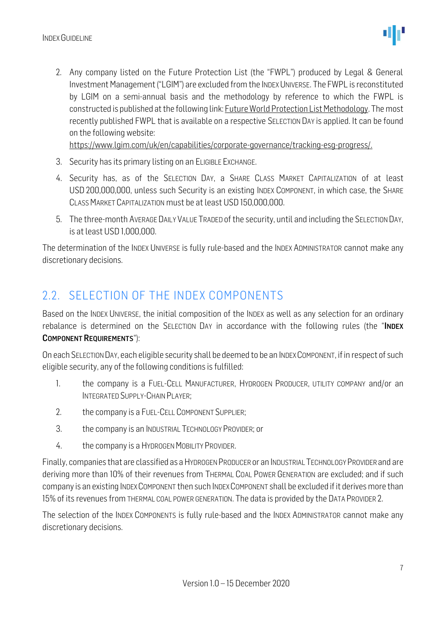2. Any company listed on the Future Protection List (the "FWPL") produced by Legal & General Investment Management ("LGIM") are excluded from the INDEX UNIVERSE. The FWPL is reconstituted by LGIM on a semi-annual basis and the methodology by reference to which the FWPL is constructed is published at the following link[: Future World Protection List Methodology.](http://www.lgim.com/files/_document-library/capabilities/future-world-protection-list-public-methodology.pdf) The most recently published FWPL that is available on a respective SELECTION DAY is applied. It can be found on the following website:

[https://www.lgim.com/uk/en/capabilities/corporate-governance/tracking-esg-progress/.](https://www.lgim.com/uk/en/capabilities/corporate-governance/tracking-esg-progress/)

- 3. Security has its primary listing on an ELIGIBLE EXCHANGE.
- 4. Security has, as of the SELECTION DAY, a SHARE CLASS MARKET CAPITALIZATION of at least USD 200,000,000, unless such Security is an existing INDEX COMPONENT, in which case, the SHARE CLASS MARKET CAPITALIZATION must be at least USD 150,000,000.
- 5. The three-month AVERAGE DAILY VALUE TRADED of the security, until and including the SELECTION DAY, is at least USD 1,000,000.

The determination of the INDEX UNIVERSE is fully rule-based and the INDEX ADMINISTRATOR cannot make any discretionary decisions.

#### <span id="page-6-0"></span>2.2. SELECTION OF THE INDEX COMPONENTS

Based on the INDEX UNIVERSE, the initial composition of the INDEX as well as any selection for an ordinary rebalance is determined on the SELECTION DAY in accordance with the following rules (the "INDEX COMPONENT REQUIREMENTS"):

On each SELECTION DAY, each eligible security shall be deemed to be an INDEX COMPONENT, if in respect of such eligible security, any of the following conditions is fulfilled:

- 1. the company is a FUEL-CELL MANUFACTURER, HYDROGEN PRODUCER, UTILITY COMPANY and/or an INTEGRATED SUPPLY-CHAIN PLAYER;
- 2. the company is a FUEL-CELL COMPONENT SUPPLIER;
- 3. the company is an INDUSTRIAL TECHNOLOGY PROVIDER; or
- 4. the company is a HYDROGEN MOBILITY PROVIDER.

Finally, companies that are classified as a HYDROGEN PRODUCER or an INDUSTRIAL TECHNOLOGY PROVIDER and are deriving more than 10% of their revenues from THERMAL COAL POWER GENERATION are excluded; and if such company is an existing INDEX COMPONENT then such INDEX COMPONENT shall be excluded if it derives more than 15% of its revenues from THERMAL COAL POWER GENERATION. The data is provided by the DATA PROVIDER 2.

The selection of the INDEX COMPONENTS is fully rule-based and the INDEX ADMINISTRATOR cannot make any discretionary decisions.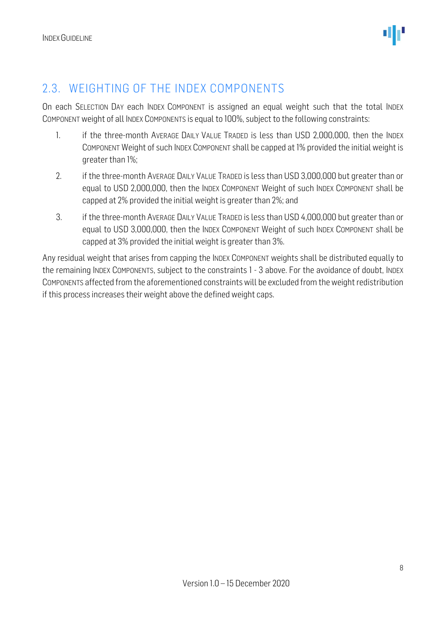#### <span id="page-7-0"></span>2.3. WEIGHTING OF THE INDEX COMPONENTS

On each SELECTION DAY each INDEX COMPONENT is assigned an equal weight such that the total INDEX COMPONENT weight of all INDEX COMPONENTS is equal to 100%, subject to the following constraints:

- 1. if the three-month AVERAGE DAILY VALUE TRADED is less than USD 2,000,000, then the INDEX COMPONENT Weight of such INDEX COMPONENT shall be capped at 1% provided the initial weight is greater than 1%;
- 2. if the three-month AVERAGE DAILY VALUE TRADED is less than USD 3,000,000 but greater than or equal to USD 2,000,000, then the INDEX COMPONENT Weight of such INDEX COMPONENT shall be capped at 2% provided the initial weight is greater than 2%; and
- 3. if the three-month AVERAGE DAILY VALUE TRADED is less than USD 4,000,000 but greater than or equal to USD 3,000,000, then the INDEX COMPONENT Weight of such INDEX COMPONENT shall be capped at 3% provided the initial weight is greater than 3%.

Any residual weight that arises from capping the INDEX COMPONENT weights shall be distributed equally to the remaining INDEX COMPONENTS, subject to the constraints 1 - 3 above. For the avoidance of doubt, INDEX COMPONENTS affected from the aforementioned constraints will be excluded from the weight redistribution if this process increases their weight above the defined weight caps.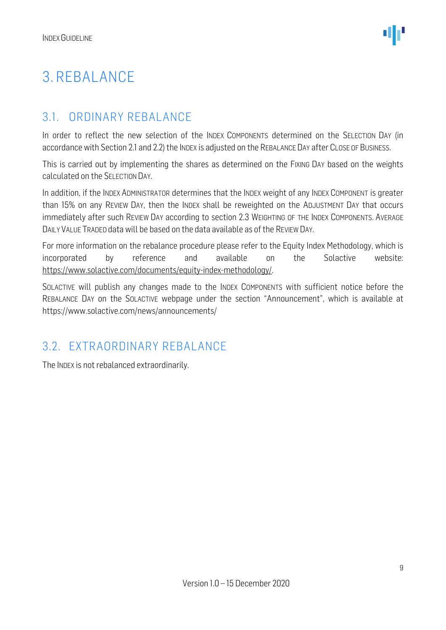### <span id="page-8-0"></span>3. REBALANCE

#### <span id="page-8-1"></span>3.1. ORDINARY REBALANCE

In order to reflect the new selection of the INDEX COMPONENTS determined on the SELECTION DAY (in accordance with Section 2.1 and 2.2) the INDEX is adjusted on the REBALANCE DAY after CLOSE OF BUSINESS.

This is carried out by implementing the shares as determined on the FIXING DAY based on the weights calculated on the SELECTION DAY.

In addition, if the INDEX ADMINISTRATOR determines that the INDEX weight of any INDEX COMPONENT is greater than 15% on any REVIEW DAY, then the INDEX shall be reweighted on the ADJUSTMENT DAY that occurs immediately after such REVIEW DAY according to section 2.3 WEIGHTING OF THE INDEX COMPONENTS. AVERAGE DAILY VALUE TRADED data will be based on the data available as of the REVIEW DAY.

For more information on the rebalance procedure please refer to the Equity Index Methodology, which is incorporated by reference and available on the Solactive website: [https://www.solactive.com/documents/equity-index-methodology/.](https://www.solactive.com/documents/equity-index-methodology/)

SOLACTIVE will publish any changes made to the INDEX COMPONENTS with sufficient notice before the REBALANCE DAY on the SOLACTIVE webpage under the section "Announcement", which is available at https://www.solactive.com/news/announcements/

#### <span id="page-8-2"></span>3.2. EXTRAORDINARY REBALANCE

The INDEX is not rebalanced extraordinarily.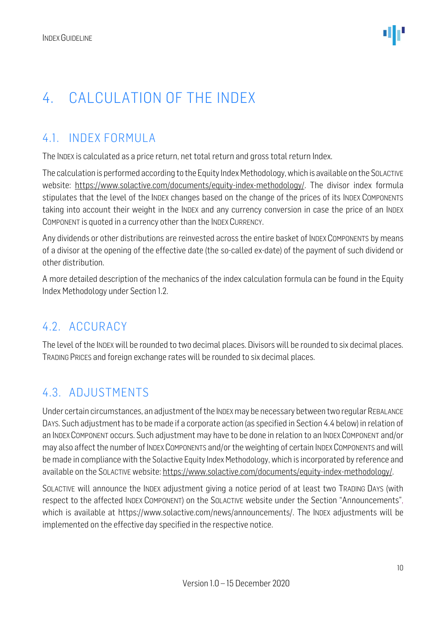### <span id="page-9-0"></span>4. CALCULATION OF THE INDEX

#### <span id="page-9-1"></span>4.1. INDEX FORMULA

The INDEX is calculated as a price return, net total return and gross total return Index.

The calculation is performed according to the Equity Index Methodology, which is available on the SOLACTIVE website: [https://www.solactive.com/documents/equity-index-methodology/.](https://www.solactive.com/documents/equity-index-methodology/) The divisor index formula stipulates that the level of the INDEX changes based on the change of the prices of its INDEX COMPONENTS taking into account their weight in the INDEX and any currency conversion in case the price of an INDEX COMPONENT is quoted in a currency other than the INDEX CURRENCY.

Any dividends or other distributions are reinvested across the entire basket of INDEX COMPONENTS by means of a divisor at the opening of the effective date (the so-called ex-date) of the payment of such dividend or other distribution.

A more detailed description of the mechanics of the index calculation formula can be found in the Equity Index Methodology under Section 1.2.

#### <span id="page-9-2"></span>4.2. ACCURACY

The level of the INDEX will be rounded to two decimal places. Divisors will be rounded to six decimal places. TRADING PRICES and foreign exchange rates will be rounded to six decimal places.

#### <span id="page-9-3"></span>4.3. ADJUSTMENTS

Under certain circumstances, an adjustment of the INDEXmay be necessary between two regular REBALANCE DAYS. Such adjustment has to be made if a corporate action (as specified in Section 4.4 below) in relation of an INDEX COMPONENT occurs. Such adjustment may have to be done in relation to an INDEX COMPONENT and/or may also affect the number of INDEX COMPONENTS and/or the weighting of certain INDEX COMPONENTS and will be made in compliance with the Solactive Equity Index Methodology, which is incorporated by reference and available on the SOLACTIVE website[: https://www.solactive.com/documents/equity-index-methodology/.](https://www.solactive.com/documents/equity-index-methodology/)

SOLACTIVE will announce the INDEX adjustment giving a notice period of at least two TRADING DAYS (with respect to the affected INDEX COMPONENT) on the SOLACTIVE website under the Section "Announcements", which is available at https://www.solactive.com/news/announcements/. The INDEX adjustments will be implemented on the effective day specified in the respective notice.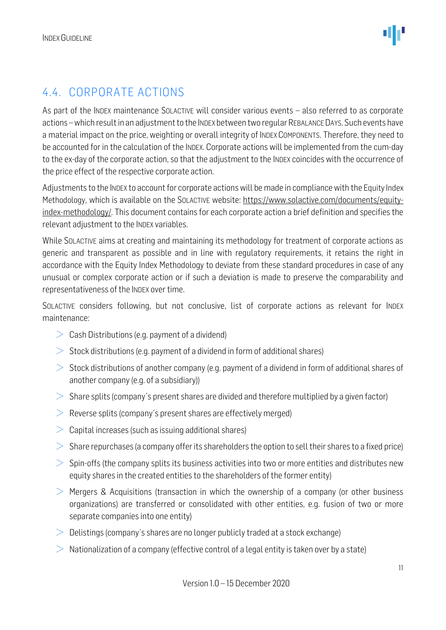#### <span id="page-10-0"></span>4.4. CORPORATE ACTIONS

As part of the INDEX maintenance SOLACTIVE will consider various events – also referred to as corporate actions –which result in an adjustment to the INDEX between two regular REBALANCE DAYS. Such events have a material impact on the price, weighting or overall integrity of INDEX COMPONENTS. Therefore, they need to be accounted for in the calculation of the INDEX. Corporate actions will be implemented from the cum-day to the ex-day of the corporate action, so that the adjustment to the INDEX coincides with the occurrence of the price effect of the respective corporate action.

Adjustments to the INDEX to account for corporate actions will be made in compliance with the Equity Index Methodology, which is available on the SOLACTIVE website: [https://www.solactive.com/documents/equity](https://www.solactive.com/documents/equity-index-methodology/)[index-methodology/.](https://www.solactive.com/documents/equity-index-methodology/) This document contains for each corporate action a brief definition and specifies the relevant adjustment to the INDEX variables.

While SOLACTIVE aims at creating and maintaining its methodology for treatment of corporate actions as generic and transparent as possible and in line with regulatory requirements, it retains the right in accordance with the Equity Index Methodology to deviate from these standard procedures in case of any unusual or complex corporate action or if such a deviation is made to preserve the comparability and representativeness of the INDEX over time.

SOLACTIVE considers following, but not conclusive, list of corporate actions as relevant for INDEX maintenance:

- $\geq$  Cash Distributions (e.g. payment of a dividend)
- $>$  Stock distributions (e.g. payment of a dividend in form of additional shares)
- $>$  Stock distributions of another company (e.g. payment of a dividend in form of additional shares of another company (e.g. of a subsidiary))
- $>$  Share splits (company's present shares are divided and therefore multiplied by a given factor)
- $\geq$  Reverse splits (company's present shares are effectively merged)
- $>$  Capital increases (such as issuing additional shares)
- $>$  Share repurchases (a company offer its shareholders the option to sell their shares to a fixed price)
- $>$  Spin-offs (the company splits its business activities into two or more entities and distributes new equity shares in the created entities to the shareholders of the former entity)
- $>$  Mergers & Acquisitions (transaction in which the ownership of a company (or other business organizations) are transferred or consolidated with other entities, e.g. fusion of two or more separate companies into one entity)
- $\geq$  Delistings (company's shares are no longer publicly traded at a stock exchange)
- $\geq$  Nationalization of a company (effective control of a legal entity is taken over by a state)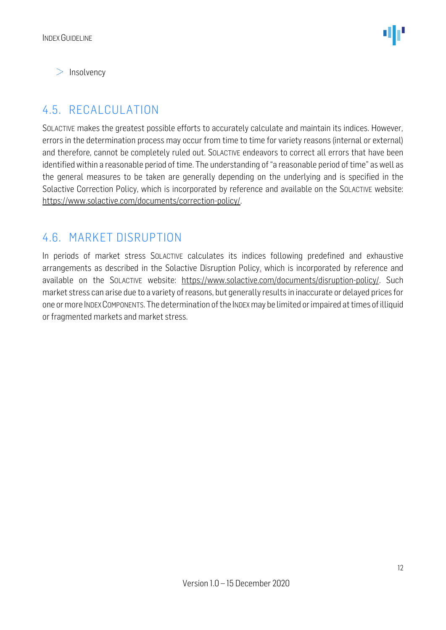$>$  Insolvency

#### <span id="page-11-0"></span>4.5. RECALCULATION

SOLACTIVE makes the greatest possible efforts to accurately calculate and maintain its indices. However, errors in the determination process may occur from time to time for variety reasons (internal or external) and therefore, cannot be completely ruled out. SOLACTIVE endeavors to correct all errors that have been identified within a reasonable period of time. The understanding of "a reasonable period of time" as well as the general measures to be taken are generally depending on the underlying and is specified in the Solactive Correction Policy, which is incorporated by reference and available on the SOLACTIVE website: [https://www.solactive.com/documents/correction-policy/.](https://www.solactive.com/documents/correction-policy/)

#### <span id="page-11-1"></span>4.6. MARKET DISRUPTION

In periods of market stress SOLACTIVE calculates its indices following predefined and exhaustive arrangements as described in the Solactive Disruption Policy, which is incorporated by reference and available on the SOLACTIVE website: [https://www.solactive.com/documents/disruption-policy/.](https://www.solactive.com/documents/disruption-policy/) Such market stress can arise due to a variety of reasons, but generally results in inaccurate or delayed prices for one or more INDEXCOMPONENTS. The determination of the INDEXmay be limited or impaired at times of illiquid or fragmented markets and market stress.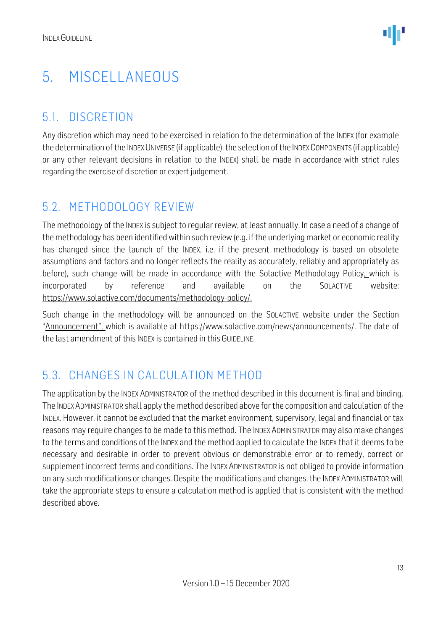### <span id="page-12-0"></span>5. MISCELLANEOUS

#### <span id="page-12-1"></span>5.1. DISCRETION

Any discretion which may need to be exercised in relation to the determination of the INDEX (for example the determination of the INDEX UNIVERSE (if applicable), the selection of the INDEX COMPONENTS (if applicable) or any other relevant decisions in relation to the INDEX) shall be made in accordance with strict rules regarding the exercise of discretion or expert judgement.

#### <span id="page-12-2"></span>5.2. METHODOLOGY REVIEW

The methodology of the INDEX is subject to regular review, at least annually. In case a need of a change of the methodology has been identified within such review (e.g. if the underlying market or economic reality has changed since the launch of the INDEX, i.e. if the present methodology is based on obsolete assumptions and factors and no longer reflects the reality as accurately, reliably and appropriately as before), such change will be made in accordance with the Solactive Methodology Policy, which is incorporated by reference and available on the SOLACTIVE website: [https://www.solactive.com/documents/methodology-policy/.](https://www.solactive.com/documents/methodology-policy/)

Such change in the methodology will be announced on the SOLACTIVE website under the Section "Announcement", which is available at https://www.solactive.com/news/announcements/. The date of the last amendment of this INDEX is contained in this GUIDELINE.

#### <span id="page-12-3"></span>5.3. CHANGES IN CALCULATION METHOD

The application by the INDEX ADMINISTRATOR of the method described in this document is final and binding. The INDEXADMINISTRATOR shall apply the method described above for the composition and calculation of the INDEX. However, it cannot be excluded that the market environment, supervisory, legal and financial or tax reasons may require changes to be made to this method. The INDEX ADMINISTRATOR may also make changes to the terms and conditions of the INDEX and the method applied to calculate the INDEX that it deems to be necessary and desirable in order to prevent obvious or demonstrable error or to remedy, correct or supplement incorrect terms and conditions. The INDEX ADMINISTRATOR is not obliged to provide information on any such modifications or changes. Despite the modifications and changes, the INDEX ADMINISTRATOR will take the appropriate steps to ensure a calculation method is applied that is consistent with the method described above.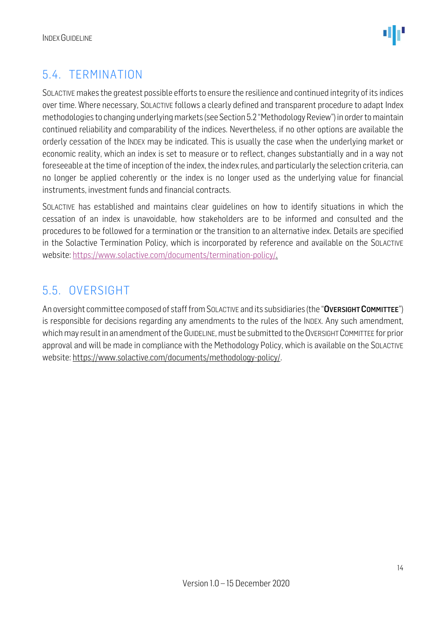

#### <span id="page-13-0"></span>5.4. TERMINATION

SOLACTIVE makes the greatest possible efforts to ensure the resilience and continued integrity of its indices over time. Where necessary, SOLACTIVE follows a clearly defined and transparent procedure to adapt Index methodologies to changing underlying markets (see Section 5.2 "Methodology Review") in order to maintain continued reliability and comparability of the indices. Nevertheless, if no other options are available the orderly cessation of the INDEX may be indicated. This is usually the case when the underlying market or economic reality, which an index is set to measure or to reflect, changes substantially and in a way not foreseeable at the time of inception of the index, the index rules, and particularly the selection criteria, can no longer be applied coherently or the index is no longer used as the underlying value for financial instruments, investment funds and financial contracts.

SOLACTIVE has established and maintains clear guidelines on how to identify situations in which the cessation of an index is unavoidable, how stakeholders are to be informed and consulted and the procedures to be followed for a termination or the transition to an alternative index. Details are specified in the Solactive Termination Policy, which is incorporated by reference and available on the SOLACTIVE website: [https://www.solactive.com/documents/termination-policy/.](https://www.solactive.com/documents/termination-policy/)

#### <span id="page-13-1"></span>5.5. OVERSIGHT

An oversight committee composed of staff from SOLACTIVE and its subsidiaries (the "OVERSIGHT COMMITTEE") is responsible for decisions regarding any amendments to the rules of the INDEX. Any such amendment, which may result in an amendment of the GUIDELINE, must be submitted to the OVERSIGHT COMMITTEE for prior approval and will be made in compliance with the [Methodology](http://methodology/) Policy, which is available on the SOLACTIVE website: [https://www.solactive.com/documents/methodology-policy/.](https://www.solactive.com/documents/methodology-policy/)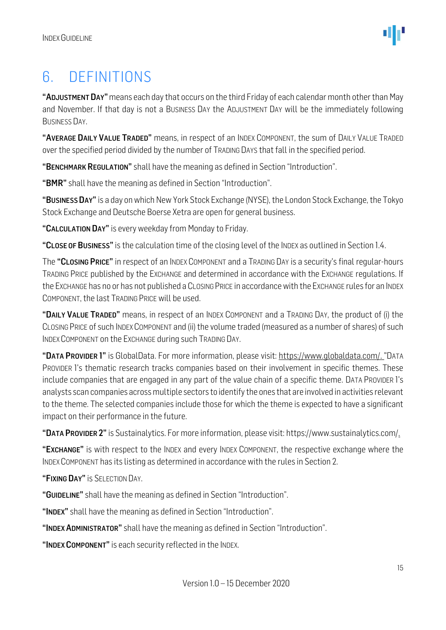### <span id="page-14-0"></span>6. DEFINITIONS

"ADJUSTMENT DAY" means each day that occurs on the third Friday of each calendar month other than May and November. If that day is not a BUSINESS DAY the ADJUSTMENT DAY will be the immediately following BUSINESS DAY.

"AVERAGE DAILY VALUE TRADED" means, in respect of an INDEX COMPONENT, the sum of DAILY VALUE TRADED over the specified period divided by the number of TRADING DAYS that fall in the specified period.

"BENCHMARK REGULATION" shall have the meaning as defined in Section "Introduction".

"BMR" shall have the meaning as defined in Section "Introduction".

"BUSINESS DAY" is a day on which New York Stock Exchange (NYSE), the London Stock Exchange, the Tokyo Stock Exchange and Deutsche Boerse Xetra are open for general business.

"CALCULATION DAY" is every weekday from Monday to Friday.

"CLOSE OF BUSINESS" is the calculation time of the closing level of the INDEX as outlined in Section 1.4.

The "CLOSING PRICE" in respect of an INDEX COMPONENT and a TRADING DAY is a security's final regular-hours TRADING PRICE published by the EXCHANGE and determined in accordance with the EXCHANGE regulations. If the EXCHANGE has no or has not published a CLOSING PRICE in accordance with the EXCHANGE rules for an INDEX COMPONENT, the last TRADING PRICE will be used.

"DAILY VALUE TRADED" means, in respect of an INDEX COMPONENT and a TRADING DAY, the product of (i) the CLOSING PRICE of such INDEX COMPONENT and (ii) the volume traded (measured as a number of shares) of such INDEX COMPONENT on the EXCHANGE during such TRADING DAY.

"DATA PROVIDER 1" is GlobalData. For more information, please visit: [https://www.globaldata.com/.](https://www.globaldata.com/) "DATA PROVIDER 1's thematic research tracks companies based on their involvement in specific themes. These include companies that are engaged in any part of the value chain of a specific theme. DATA PROVIDER 1's analysts scan companies across multiple sectors to identify the ones that are involved in activities relevant to the theme. The selected companies include those for which the theme is expected to have a significant impact on their performance in the future.

"DATA PROVIDER 2" is Sustainalytics. For more information, please visit: https://www.sustainalytics.com/.

"EXCHANGE" is with respect to the INDEX and every INDEX COMPONENT, the respective exchange where the INDEX COMPONENT has its listing as determined in accordance with the rules in Section 2.

"FIXING DAY" is SELECTION DAY.

"GUIDELINE" shall have the meaning as defined in Section "Introduction".

"INDEX" shall have the meaning as defined in Section "Introduction".

"INDEX ADMINISTRATOR" shall have the meaning as defined in Section "Introduction".

"INDEX COMPONENT" is each security reflected in the INDEX.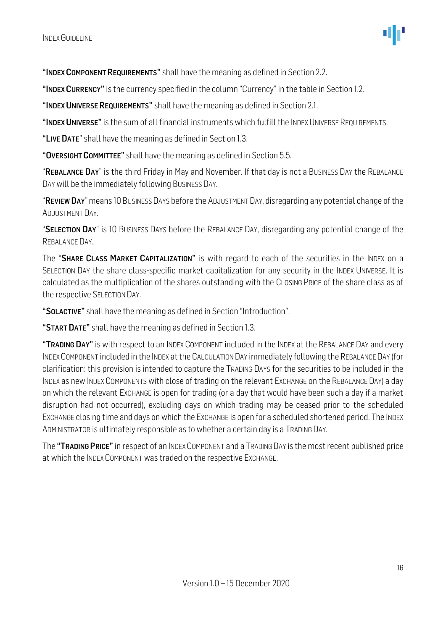"INDEX COMPONENT REQUIREMENTS" shall have the meaning as defined in Section 2.2.

"INDEX CURRENCY" is the currency specified in the column "Currency" in the table in Section 1.2.

"INDEX UNIVERSE REQUIREMENTS" shall have the meaning as defined in Section 2.1.

"INDEX UNIVERSE" is the sum of all financial instruments which fulfill the INDEX UNIVERSE REQUIREMENTS.

"LIVE DATE" shall have the meaning as defined in Section 1.3.

"OVERSIGHT COMMITTEE" shall have the meaning as defined in Section 5.5.

"REBALANCE DAY" is the third Friday in May and November. If that day is not a BUSINESS DAY the REBALANCE DAY will be the immediately following BUSINESS DAY.

"REVIEW DAY" means 10 BUSINESS DAYS before the ADJUSTMENT DAY, disregarding any potential change of the ADJUSTMENT DAY.

"SELECTION DAY" is 10 BUSINESS DAYS before the REBALANCE DAY, disregarding any potential change of the REBALANCE DAY.

The "SHARE CLASS MARKET CAPITALIZATION" is with regard to each of the securities in the INDEX on a SELECTION DAY the share class-specific market capitalization for any security in the INDEX UNIVERSE. It is calculated as the multiplication of the shares outstanding with the CLOSING PRICE of the share class as of the respective SELECTION DAY.

"SOLACTIVE" shall have the meaning as defined in Section "Introduction".

"START DATE" shall have the meaning as defined in Section 1.3.

"TRADING DAY" is with respect to an INDEX COMPONENT included in the INDEX at the REBALANCE DAY and every INDEXCOMPONENT included in the INDEX at the CALCULATION DAY immediately following the REBALANCE DAY (for clarification: this provision is intended to capture the TRADING DAYS for the securities to be included in the INDEX as new INDEX COMPONENTS with close of trading on the relevant EXCHANGE on the REBALANCE DAY) a day on which the relevant EXCHANGE is open for trading (or a day that would have been such a day if a market disruption had not occurred), excluding days on which trading may be ceased prior to the scheduled EXCHANGE closing time and days on which the EXCHANGE is open for a scheduled shortened period. The INDEX ADMINISTRATOR is ultimately responsible as to whether a certain day is a TRADING DAY.

The "TRADING PRICE" in respect of an INDEX COMPONENT and a TRADING DAY is the most recent published price at which the INDEX COMPONENT was traded on the respective EXCHANGE.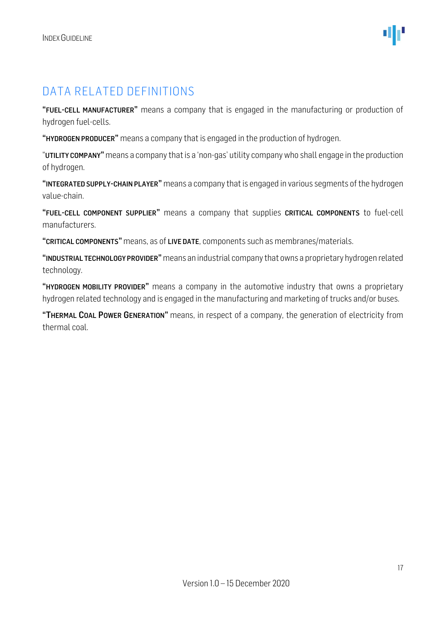#### DATA RELATED DEFINITIONS

"FUEL-CELL MANUFACTURER" means a company that is engaged in the manufacturing or production of hydrogen fuel-cells.

"HYDROGEN PRODUCER" means a company that is engaged in the production of hydrogen.

"UTILITY COMPANY" means a company that is a 'non-gas' utility company who shall engage in the production of hydrogen.

"INTEGRATED SUPPLY-CHAIN PLAYER" means a company that is engaged in various segments of the hydrogen value-chain.

"FUEL-CELL COMPONENT SUPPLIER" means a company that supplies CRITICAL COMPONENTS to fuel-cell manufacturers.

"CRITICAL COMPONENTS" means, as of LIVE DATE, components such as membranes/materials.

"INDUSTRIAL TECHNOLOGY PROVIDER" means an industrial company that owns a proprietary hydrogen related technology.

"HYDROGEN MOBILITY PROVIDER" means a company in the automotive industry that owns a proprietary hydrogen related technology and is engaged in the manufacturing and marketing of trucks and/or buses.

"THERMAL COAL POWER GENERATION" means, in respect of a company, the generation of electricity from thermal coal.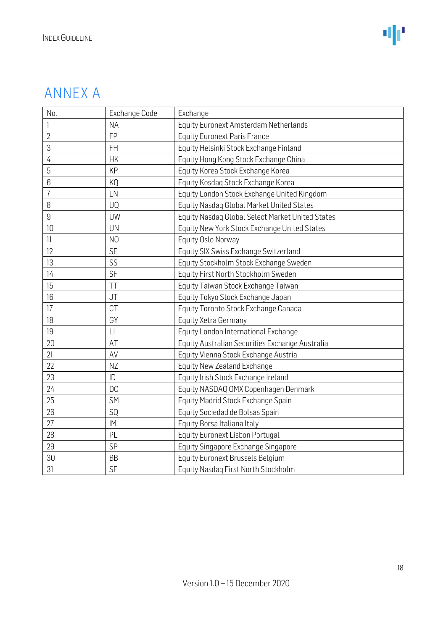### ANNEX A

| No.            | Exchange Code  | Exchange                                         |  |
|----------------|----------------|--------------------------------------------------|--|
| 1              | <b>NA</b>      | Equity Euronext Amsterdam Netherlands            |  |
| $\overline{2}$ | FP             | <b>Equity Euronext Paris France</b>              |  |
| 3              | <b>FH</b>      | Equity Helsinki Stock Exchange Finland           |  |
| 4              | <b>HK</b>      | Equity Hong Kong Stock Exchange China            |  |
| 5              | KP             | Equity Korea Stock Exchange Korea                |  |
| 6              | KQ             | Equity Kosdaq Stock Exchange Korea               |  |
| $\overline{1}$ | LN             | Equity London Stock Exchange United Kingdom      |  |
| 8              | UQ             | Equity Nasdaq Global Market United States        |  |
| 9              | UW             | Equity Nasdaq Global Select Market United States |  |
| 10             | <b>UN</b>      | Equity New York Stock Exchange United States     |  |
| 11             | N <sub>O</sub> | Equity Oslo Norway                               |  |
| 12             | <b>SE</b>      | Equity SIX Swiss Exchange Switzerland            |  |
| 13             | SS             | Equity Stockholm Stock Exchange Sweden           |  |
| 14             | SF             | Equity First North Stockholm Sweden              |  |
| 15             | TT             | Equity Taiwan Stock Exchange Taiwan              |  |
| 16             | JT             | Equity Tokyo Stock Exchange Japan                |  |
| 17             | CT             | Equity Toronto Stock Exchange Canada             |  |
| 18             | GY             | Equity Xetra Germany                             |  |
| 19             | $\Box$         | Equity London International Exchange             |  |
| 20             | AT             | Equity Australian Securities Exchange Australia  |  |
| 21             | AV             | Equity Vienna Stock Exchange Austria             |  |
| 22             | NZ             | Equity New Zealand Exchange                      |  |
| 23             | ID             | Equity Irish Stock Exchange Ireland              |  |
| 24             | <b>DC</b>      | Equity NASDAQ OMX Copenhagen Denmark             |  |
| 25             | SM             | Equity Madrid Stock Exchange Spain               |  |
| 26             | SQ             | Equity Sociedad de Bolsas Spain                  |  |
| 27             | IM             | Equity Borsa Italiana Italy                      |  |
| 28             | PL             | Equity Euronext Lisbon Portugal                  |  |
| 29             | SP             | Equity Singapore Exchange Singapore              |  |
| 30             | <b>BB</b>      | Equity Euronext Brussels Belgium                 |  |
| 31             | SF             | Equity Nasdaq First North Stockholm              |  |